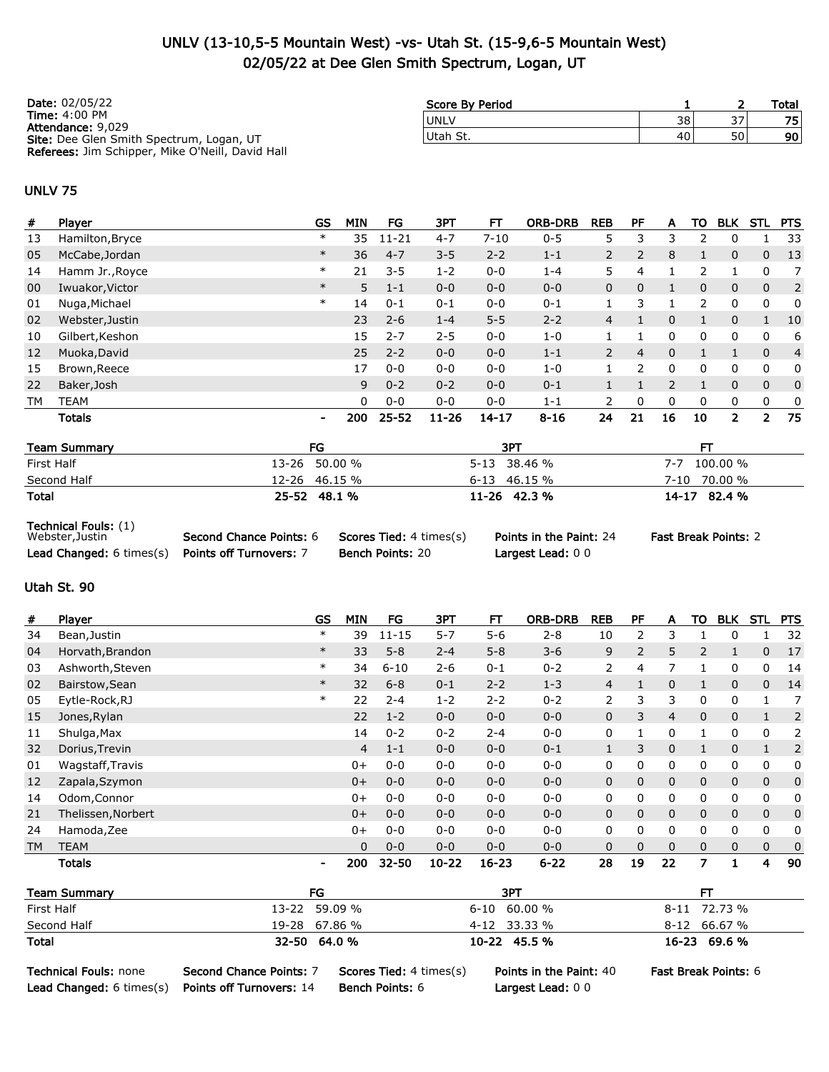## UNLV (13-10,5-5 Mountain West) -vs- Utah St. (15-9,6-5 Mountain West) 02/05/22 at Dee Glen Smith Spectrum, Logan, UT

| <b>Date: 02/05/22</b>                                                | Score By Period |    |    | Total |
|----------------------------------------------------------------------|-----------------|----|----|-------|
| <b>Time: 4:00 PM</b>                                                 | <b>UNLV</b>     | 38 | 37 | 75    |
| <b>Attendance: 9,029</b><br>Site: Dee Glen Smith Spectrum, Logan, UT | Utah St.        | 40 | 50 | 90    |
| Referees: Jim Schipper, Mike O'Neill, David Hall                     |                 |    |    |       |

#### UNLV 75

| #  | Player          | <b>GS</b>      | <b>MIN</b> | FG        | ЗРТ       | FТ        | <b>ORB-DRB</b> | <b>REB</b>     | PF             | A              | то            | <b>BLK</b>   | STL            | <b>PTS</b>     |
|----|-----------------|----------------|------------|-----------|-----------|-----------|----------------|----------------|----------------|----------------|---------------|--------------|----------------|----------------|
| 13 | Hamilton, Bryce | $\ast$         | 35         | $11 - 21$ | $4 - 7$   | $7 - 10$  | $0 - 5$        | 5              | 3              | 3              | $\mathcal{P}$ | 0            |                | 33             |
| 05 | McCabe, Jordan  | $\ast$         | 36         | $4 - 7$   | $3 - 5$   | $2 - 2$   | $1 - 1$        | $\overline{2}$ | $\overline{2}$ | 8              |               | $\mathbf{0}$ | $\mathbf{0}$   | 13             |
| 14 | Hamm Jr., Royce | $\ast$         | 21         | $3 - 5$   | $1 - 2$   | $0 - 0$   | $1 - 4$        | 5              | 4              |                | $\mathcal{P}$ |              | 0              | 7              |
| 00 | Iwuakor, Victor | $\ast$         | 5          | $1 - 1$   | $0 - 0$   | $0 - 0$   | $0 - 0$        | 0              | $\Omega$       |                | $\mathbf{0}$  | $\mathbf{0}$ | $\mathbf{0}$   | 2              |
| 01 | Nuga, Michael   | $\ast$         | 14         | $0 - 1$   | $0 - 1$   | $0 - 0$   | $0 - 1$        |                | 3              |                | $\mathcal{P}$ | 0            | 0              | 0              |
| 02 | Webster, Justin |                | 23         | $2 - 6$   | $1 - 4$   | $5 - 5$   | $2 - 2$        | 4              |                | 0              |               | $\mathbf{0}$ |                | 10             |
| 10 | Gilbert, Keshon |                | 15         | $2 - 7$   | $2 - 5$   | $0 - 0$   | $1 - 0$        |                |                | 0              | 0             | 0            | 0              | 6              |
| 12 | Muoka, David    |                | 25         | $2 - 2$   | $0 - 0$   | $0 - 0$   | $1 - 1$        | $\overline{2}$ | $\overline{4}$ | $\Omega$       |               |              | $\Omega$       | $\overline{4}$ |
| 15 | Brown, Reece    |                | 17         | $0 - 0$   | $0 - 0$   | $0 - 0$   | $1 - 0$        |                | $\mathcal{P}$  | 0              | 0             | 0            | 0              | 0              |
| 22 | Baker, Josh     |                | 9          | $0 - 2$   | $0 - 2$   | $0 - 0$   | $0 - 1$        |                |                | $\overline{2}$ | $\mathbf{1}$  | $\mathbf{0}$ | $\mathbf 0$    | $\mathbf{0}$   |
| TM | <b>TEAM</b>     |                | $\Omega$   | $0 - 0$   | $0 - 0$   | $0 - 0$   | $1 - 1$        | $\mathcal{P}$  | 0              | 0              | 0             | 0            | $\mathbf{0}$   | 0              |
|    | <b>Totals</b>   | $\blacksquare$ | 200        | $25 - 52$ | $11 - 26$ | $14 - 17$ | $8 - 16$       | 24             | 21             | 16             | 10            | $\mathbf{2}$ | $\overline{2}$ | 75             |
|    |                 |                |            |           |           |           |                |                |                |                |               |              |                |                |

| <b>Team Summary</b> | FG            | 3P1            |                 |
|---------------------|---------------|----------------|-----------------|
| First Half          | 13-26 50.00 % | 5-13 38.46 %   | 100.00 %<br>7-7 |
| Second Half         | 12-26 46.15 % | 6-13 46.15 %   | 70.00 %<br>7-10 |
| <b>Total</b>        | 25-52 48.1 %  | $11-26$ 42.3 % | 14-17 82.4 %    |

Technical Fouls: (1)

| 19911119911199111177<br>Webster, Justin          | Second Chance Points: 6 | <b>Scores Tied:</b> 4 times(s) | Points in the Paint: 24 | <b>Fast Break Points: 2</b> |
|--------------------------------------------------|-------------------------|--------------------------------|-------------------------|-----------------------------|
| Lead Changed: 6 times(s) Points off Turnovers: 7 |                         | <b>Bench Points: 20</b>        | Largest Lead: 00        |                             |

### Utah St. 90

| #         | Player             | <b>GS</b>      | <b>MIN</b> | FG        | 3PT       | FТ        | <b>ORB-DRB</b> | <b>REB</b>            | PF             | Α              | то             | <b>BLK</b>   | STL          | <b>PTS</b>   |
|-----------|--------------------|----------------|------------|-----------|-----------|-----------|----------------|-----------------------|----------------|----------------|----------------|--------------|--------------|--------------|
| 34        | Bean, Justin       | $\ast$         | 39         | $11 - 15$ | $5 - 7$   | $5 - 6$   | $2 - 8$        | 10                    | 2              | 3              |                | 0            |              | 32           |
| 04        | Horvath, Brandon   | $\ast$         | 33         | $5 - 8$   | $2 - 4$   | $5 - 8$   | $3 - 6$        | 9                     | $\overline{2}$ | 5              | $\overline{2}$ | $\mathbf{1}$ | 0            | 17           |
| 03        | Ashworth, Steven   | $\ast$         | 34         | $6 - 10$  | $2 - 6$   | $0 - 1$   | $0 - 2$        | $\mathbf{2}^{\prime}$ | 4              | 7              |                | 0            | 0            | 14           |
| 02        | Bairstow, Sean     | $\ast$         | 32         | $6 - 8$   | $0 - 1$   | $2 - 2$   | $1 - 3$        | 4                     |                | $\mathbf{0}$   |                | $\mathbf{0}$ | 0            | 14           |
| 05        | Eytle-Rock, RJ     | $\ast$         | 22         | $2 - 4$   | $1 - 2$   | $2 - 2$   | $0 - 2$        | $\overline{2}$        | 3              | 3              | 0              | 0            |              |              |
| 15        | Jones, Rylan       |                | 22         | $1 - 2$   | $0 - 0$   | $0 - 0$   | $0 - 0$        | 0                     | 3              | $\overline{4}$ | $\mathbf{0}$   | $\mathbf 0$  |              | 2            |
| 11        | Shulga, Max        |                | 14         | $0 - 2$   | $0 - 2$   | $2 - 4$   | $0 - 0$        | 0                     |                | 0              |                | 0            | 0            | 2            |
| 32        | Dorius, Trevin     |                | 4          | $1 - 1$   | $0 - 0$   | $0 - 0$   | $0 - 1$        | $\mathbf{1}$          | 3              | $\mathbf 0$    | $\mathbf{1}$   | $\mathbf 0$  | $\mathbf{1}$ | 2            |
| 01        | Wagstaff, Travis   |                | $0+$       | $0 - 0$   | $0 - 0$   | $0 - 0$   | $0 - 0$        | 0                     | 0              | 0              | 0              | 0            | 0            | 0            |
| 12        | Zapala, Szymon     |                | $0+$       | $0 - 0$   | $0 - 0$   | $0 - 0$   | $0 - 0$        | 0                     | 0              | $\mathbf{0}$   | $\mathbf{0}$   | $\mathbf{0}$ | $\mathbf{0}$ | $\mathbf{0}$ |
| 14        | Odom, Connor       |                | $0+$       | $0 - 0$   | $0 - 0$   | $0 - 0$   | $0 - 0$        | 0                     | 0              | 0              | 0              | 0            | 0            | 0            |
| 21        | Thelissen, Norbert |                | $0+$       | $0 - 0$   | $0 - 0$   | $0 - 0$   | $0 - 0$        | $\mathbf{0}$          | 0              | $\mathbf{0}$   | $\mathbf{0}$   | $\mathbf 0$  | $\mathbf{0}$ | $\mathbf{0}$ |
| 24        | Hamoda, Zee        |                | $0+$       | $0 - 0$   | $0 - 0$   | $0 - 0$   | $0 - 0$        | 0                     | 0              | 0              | 0              | 0            | 0            | 0            |
| <b>TM</b> | <b>TEAM</b>        |                | $\Omega$   | $0 - 0$   | $0 - 0$   | $0 - 0$   | $0 - 0$        | $\Omega$              | $\Omega$       | $\mathbf 0$    | $\Omega$       | $\mathbf 0$  | $\Omega$     | $\mathbf{0}$ |
|           | <b>Totals</b>      | $\blacksquare$ | 200        | 32-50     | $10 - 22$ | $16 - 23$ | $6 - 22$       | 28                    | 19             | 22             | 7              |              | 4            | 90           |

| <b>Team Summary</b> | FG            | 3PT              | FТ             |
|---------------------|---------------|------------------|----------------|
| First Half          | 13-22 59.09 % | $6 - 10$ 60.00 % | 8-11 72.73 %   |
| Second Half         | 19-28 67.86 % | 4-12 33.33 %     | $8-12$ 66.67 % |
| Total               | 32-50 64.0 %  | $10-22$ 45.5 %   | 16-23 69.6 %   |

Technical Fouls: none Second Chance Points: 7 Scores Tied: 4 times(s) Points in the Paint: 40 Fast Break Points: 6

Lead Changed: 6 times(s) Points off Turnovers: 14 Bench Points: 6 Largest Lead: 0 0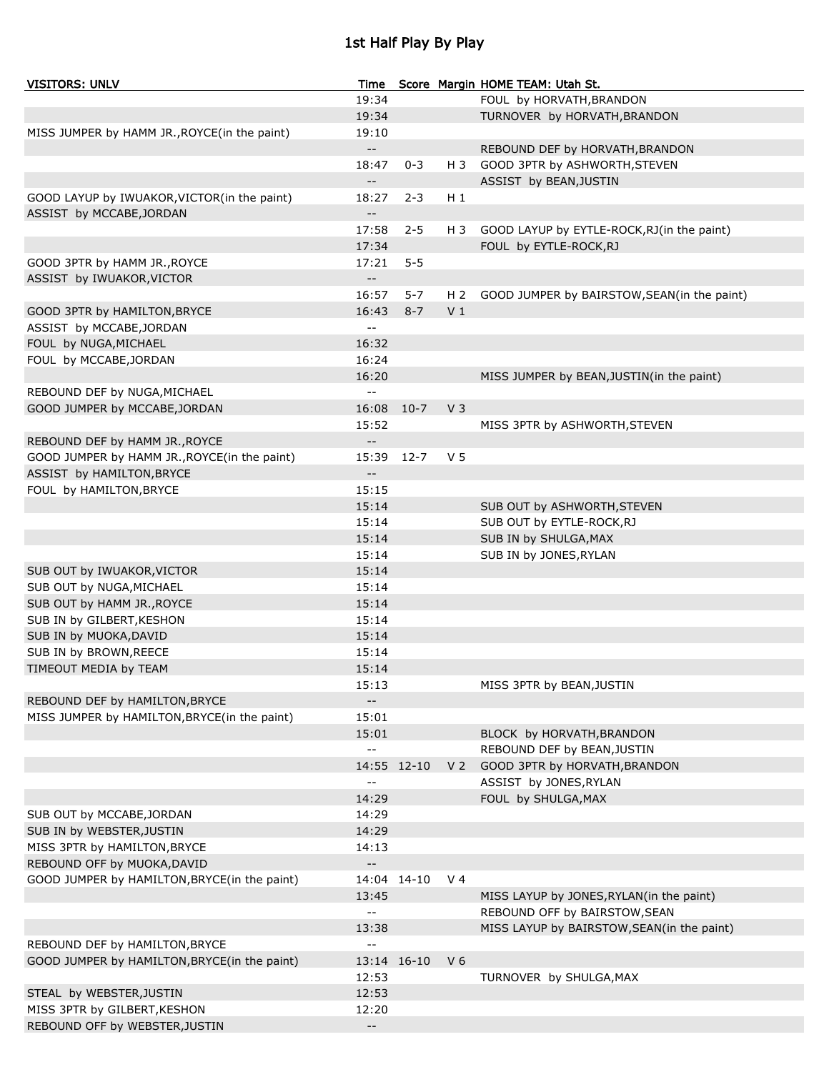# 1st Half Play By Play

| <b>VISITORS: UNLV</b>                        | Time                     |             |                | Score Margin HOME TEAM: Utah St.             |
|----------------------------------------------|--------------------------|-------------|----------------|----------------------------------------------|
|                                              | 19:34                    |             |                | FOUL by HORVATH, BRANDON                     |
|                                              | 19:34                    |             |                | TURNOVER by HORVATH, BRANDON                 |
| MISS JUMPER by HAMM JR., ROYCE(in the paint) | 19:10                    |             |                |                                              |
|                                              | $- -$                    |             |                | REBOUND DEF by HORVATH, BRANDON              |
|                                              | 18:47                    | $0 - 3$     | H 3            | GOOD 3PTR by ASHWORTH, STEVEN                |
|                                              | $-$                      |             |                | ASSIST by BEAN, JUSTIN                       |
| GOOD LAYUP by IWUAKOR, VICTOR(in the paint)  | 18:27                    | $2 - 3$     | $H_1$          |                                              |
| ASSIST by MCCABE, JORDAN                     | $-$                      |             |                |                                              |
|                                              | 17:58                    |             |                |                                              |
|                                              |                          | $2 - 5$     | H 3            | GOOD LAYUP by EYTLE-ROCK, RJ(in the paint)   |
|                                              | 17:34                    |             |                | FOUL by EYTLE-ROCK, RJ                       |
| GOOD 3PTR by HAMM JR., ROYCE                 | 17:21                    | $5 - 5$     |                |                                              |
| ASSIST by IWUAKOR, VICTOR                    | $- -$                    |             |                |                                              |
|                                              | 16:57                    | $5 - 7$     | H 2            | GOOD JUMPER by BAIRSTOW, SEAN (in the paint) |
| GOOD 3PTR by HAMILTON, BRYCE                 | 16:43                    | $8 - 7$     | V <sub>1</sub> |                                              |
| ASSIST by MCCABE, JORDAN                     | $-$                      |             |                |                                              |
| FOUL by NUGA, MICHAEL                        | 16:32                    |             |                |                                              |
| FOUL by MCCABE, JORDAN                       | 16:24                    |             |                |                                              |
|                                              | 16:20                    |             |                | MISS JUMPER by BEAN, JUSTIN(in the paint)    |
| REBOUND DEF by NUGA, MICHAEL                 | $- -$                    |             |                |                                              |
| GOOD JUMPER by MCCABE, JORDAN                | 16:08                    | $10-7$      | V <sub>3</sub> |                                              |
|                                              | 15:52                    |             |                | MISS 3PTR by ASHWORTH, STEVEN                |
| REBOUND DEF by HAMM JR., ROYCE               | $- -$                    |             |                |                                              |
| GOOD JUMPER by HAMM JR., ROYCE(in the paint) | 15:39                    | $12 - 7$    | V 5            |                                              |
| ASSIST by HAMILTON, BRYCE                    | $- -$                    |             |                |                                              |
| FOUL by HAMILTON, BRYCE                      | 15:15                    |             |                |                                              |
|                                              | 15:14                    |             |                | SUB OUT by ASHWORTH, STEVEN                  |
|                                              | 15:14                    |             |                | SUB OUT by EYTLE-ROCK, RJ                    |
|                                              | 15:14                    |             |                | SUB IN by SHULGA, MAX                        |
|                                              | 15:14                    |             |                |                                              |
|                                              |                          |             |                | SUB IN by JONES, RYLAN                       |
| SUB OUT by IWUAKOR, VICTOR                   | 15:14                    |             |                |                                              |
| SUB OUT by NUGA, MICHAEL                     | 15:14                    |             |                |                                              |
| SUB OUT by HAMM JR., ROYCE                   | 15:14                    |             |                |                                              |
| SUB IN by GILBERT, KESHON                    | 15:14                    |             |                |                                              |
| SUB IN by MUOKA, DAVID                       | 15:14                    |             |                |                                              |
| SUB IN by BROWN, REECE                       | 15:14                    |             |                |                                              |
| TIMEOUT MEDIA by TEAM                        | 15:14                    |             |                |                                              |
|                                              | 15:13                    |             |                | MISS 3PTR by BEAN, JUSTIN                    |
| REBOUND DEF by HAMILTON, BRYCE               | $- -$                    |             |                |                                              |
| MISS JUMPER by HAMILTON, BRYCE(in the paint) | 15:01                    |             |                |                                              |
|                                              | 15:01                    |             |                | BLOCK by HORVATH, BRANDON                    |
|                                              | $-$                      |             |                | REBOUND DEF by BEAN, JUSTIN                  |
|                                              |                          | 14:55 12-10 | V <sub>2</sub> | GOOD 3PTR by HORVATH, BRANDON                |
|                                              | $-$                      |             |                | ASSIST by JONES, RYLAN                       |
|                                              | 14:29                    |             |                | FOUL by SHULGA, MAX                          |
| SUB OUT by MCCABE, JORDAN                    | 14:29                    |             |                |                                              |
| SUB IN by WEBSTER, JUSTIN                    | 14:29                    |             |                |                                              |
| MISS 3PTR by HAMILTON, BRYCE                 | 14:13                    |             |                |                                              |
| REBOUND OFF by MUOKA, DAVID                  | $\overline{\phantom{a}}$ |             |                |                                              |
| GOOD JUMPER by HAMILTON, BRYCE(in the paint) |                          | 14:04 14-10 | V <sub>4</sub> |                                              |
|                                              | 13:45                    |             |                | MISS LAYUP by JONES, RYLAN(in the paint)     |
|                                              | $-$                      |             |                |                                              |
|                                              |                          |             |                | REBOUND OFF by BAIRSTOW, SEAN                |
|                                              | 13:38                    |             |                | MISS LAYUP by BAIRSTOW, SEAN(in the paint)   |
| REBOUND DEF by HAMILTON, BRYCE               | $\overline{a}$           |             |                |                                              |
| GOOD JUMPER by HAMILTON, BRYCE(in the paint) |                          | 13:14 16-10 | V <sub>6</sub> |                                              |
|                                              | 12:53                    |             |                | TURNOVER by SHULGA, MAX                      |
| STEAL by WEBSTER, JUSTIN                     | 12:53                    |             |                |                                              |
| MISS 3PTR by GILBERT, KESHON                 | 12:20                    |             |                |                                              |
| REBOUND OFF by WEBSTER, JUSTIN               | $- -$                    |             |                |                                              |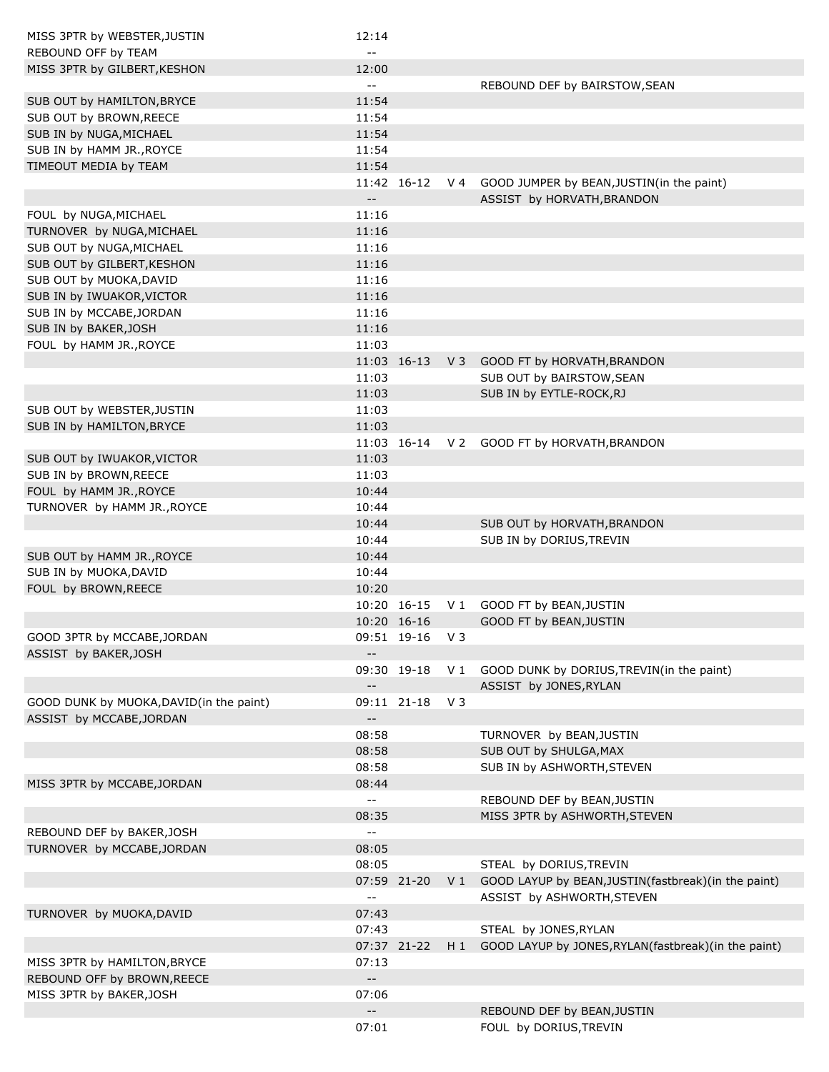| MISS 3PTR by WEBSTER, JUSTIN            | 12:14                                         |             |                |                                                           |
|-----------------------------------------|-----------------------------------------------|-------------|----------------|-----------------------------------------------------------|
| REBOUND OFF by TEAM                     | $= -$                                         |             |                |                                                           |
| MISS 3PTR by GILBERT, KESHON            | 12:00                                         |             |                |                                                           |
|                                         | $-$                                           |             |                | REBOUND DEF by BAIRSTOW, SEAN                             |
| SUB OUT by HAMILTON, BRYCE              | 11:54                                         |             |                |                                                           |
| SUB OUT by BROWN, REECE                 | 11:54                                         |             |                |                                                           |
| SUB IN by NUGA, MICHAEL                 | 11:54                                         |             |                |                                                           |
| SUB IN by HAMM JR., ROYCE               | 11:54                                         |             |                |                                                           |
| TIMEOUT MEDIA by TEAM                   | 11:54                                         |             |                |                                                           |
|                                         | $\sim$ $\sim$                                 | 11:42 16-12 | V 4            | GOOD JUMPER by BEAN, JUSTIN(in the paint)                 |
|                                         |                                               |             |                | ASSIST by HORVATH, BRANDON                                |
| FOUL by NUGA, MICHAEL                   | 11:16                                         |             |                |                                                           |
| TURNOVER by NUGA, MICHAEL               | 11:16                                         |             |                |                                                           |
| SUB OUT by NUGA, MICHAEL                | 11:16                                         |             |                |                                                           |
| SUB OUT by GILBERT, KESHON              | 11:16                                         |             |                |                                                           |
| SUB OUT by MUOKA, DAVID                 | 11:16                                         |             |                |                                                           |
| SUB IN by IWUAKOR, VICTOR               | 11:16                                         |             |                |                                                           |
| SUB IN by MCCABE, JORDAN                | 11:16                                         |             |                |                                                           |
| SUB IN by BAKER, JOSH                   | 11:16                                         |             |                |                                                           |
| FOUL by HAMM JR., ROYCE                 | 11:03                                         |             |                |                                                           |
|                                         |                                               | 11:03 16-13 | $V_3$          | GOOD FT by HORVATH, BRANDON                               |
|                                         | 11:03                                         |             |                | SUB OUT by BAIRSTOW, SEAN                                 |
|                                         | 11:03                                         |             |                | SUB IN by EYTLE-ROCK, RJ                                  |
| SUB OUT by WEBSTER, JUSTIN              | 11:03                                         |             |                |                                                           |
| SUB IN by HAMILTON, BRYCE               | 11:03                                         |             |                |                                                           |
|                                         |                                               |             |                | 11:03 16-14 V 2 GOOD FT by HORVATH, BRANDON               |
| SUB OUT by IWUAKOR, VICTOR              | 11:03                                         |             |                |                                                           |
| SUB IN by BROWN, REECE                  | 11:03                                         |             |                |                                                           |
| FOUL by HAMM JR., ROYCE                 | 10:44                                         |             |                |                                                           |
| TURNOVER by HAMM JR., ROYCE             | 10:44                                         |             |                |                                                           |
|                                         | 10:44                                         |             |                | SUB OUT by HORVATH, BRANDON                               |
|                                         | 10:44                                         |             |                | SUB IN by DORIUS, TREVIN                                  |
| SUB OUT by HAMM JR., ROYCE              | 10:44                                         |             |                |                                                           |
| SUB IN by MUOKA, DAVID                  | 10:44                                         |             |                |                                                           |
| FOUL by BROWN, REECE                    | 10:20                                         |             |                |                                                           |
|                                         |                                               | 10:20 16-15 | V 1            | GOOD FT by BEAN, JUSTIN                                   |
|                                         |                                               | 10:20 16-16 |                | GOOD FT by BEAN, JUSTIN                                   |
| GOOD 3PTR by MCCABE, JORDAN             |                                               | 09:51 19-16 | V 3            |                                                           |
| ASSIST by BAKER, JOSH                   | $- -$                                         |             |                |                                                           |
|                                         |                                               | 09:30 19-18 | V <sub>1</sub> | GOOD DUNK by DORIUS, TREVIN(in the paint)                 |
|                                         | $-$                                           |             |                | ASSIST by JONES, RYLAN                                    |
| GOOD DUNK by MUOKA, DAVID(in the paint) |                                               | 09:11 21-18 | V 3            |                                                           |
| ASSIST by MCCABE, JORDAN                | $- -$                                         |             |                |                                                           |
|                                         | 08:58                                         |             |                | TURNOVER by BEAN, JUSTIN                                  |
|                                         | 08:58                                         |             |                | SUB OUT by SHULGA, MAX                                    |
|                                         | 08:58                                         |             |                | SUB IN by ASHWORTH, STEVEN                                |
| MISS 3PTR by MCCABE, JORDAN             | 08:44                                         |             |                |                                                           |
|                                         | $\mathord{\hspace{1pt}\text{--}\hspace{1pt}}$ |             |                | REBOUND DEF by BEAN, JUSTIN                               |
|                                         | 08:35                                         |             |                | MISS 3PTR by ASHWORTH, STEVEN                             |
| REBOUND DEF by BAKER, JOSH              | $\overline{\phantom{a}}$                      |             |                |                                                           |
| TURNOVER by MCCABE, JORDAN              | 08:05                                         |             |                |                                                           |
|                                         | 08:05                                         |             |                | STEAL by DORIUS, TREVIN                                   |
|                                         |                                               | 07:59 21-20 |                | V 1 GOOD LAYUP by BEAN, JUSTIN (fastbreak) (in the paint) |
|                                         | $\mathord{\hspace{1pt}\text{--}\hspace{1pt}}$ |             |                | ASSIST by ASHWORTH, STEVEN                                |
| TURNOVER by MUOKA, DAVID                | 07:43                                         |             |                |                                                           |
|                                         | 07:43                                         |             |                | STEAL by JONES, RYLAN                                     |
|                                         |                                               | 07:37 21-22 | H 1            | GOOD LAYUP by JONES, RYLAN (fastbreak) (in the paint)     |
| MISS 3PTR by HAMILTON, BRYCE            | 07:13                                         |             |                |                                                           |
| REBOUND OFF by BROWN, REECE             | $- -$                                         |             |                |                                                           |
| MISS 3PTR by BAKER, JOSH                | 07:06                                         |             |                |                                                           |
|                                         | $- -$                                         |             |                | REBOUND DEF by BEAN, JUSTIN                               |
|                                         | 07:01                                         |             |                | FOUL by DORIUS, TREVIN                                    |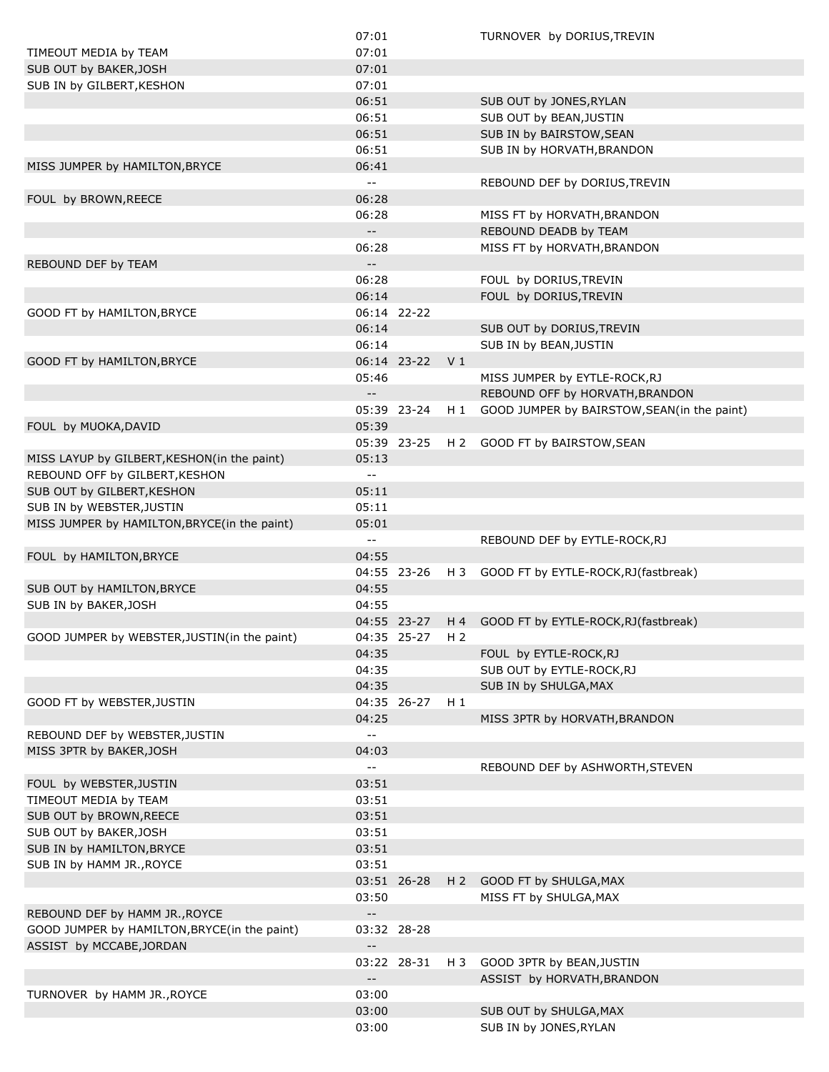|                                              | 07:01                                         |             |                | TURNOVER by DORIUS, TREVIN                  |
|----------------------------------------------|-----------------------------------------------|-------------|----------------|---------------------------------------------|
| TIMEOUT MEDIA by TEAM                        | 07:01                                         |             |                |                                             |
| SUB OUT by BAKER, JOSH                       | 07:01                                         |             |                |                                             |
| SUB IN by GILBERT, KESHON                    | 07:01                                         |             |                |                                             |
|                                              | 06:51                                         |             |                | SUB OUT by JONES, RYLAN                     |
|                                              | 06:51                                         |             |                | SUB OUT by BEAN, JUSTIN                     |
|                                              | 06:51                                         |             |                | SUB IN by BAIRSTOW, SEAN                    |
|                                              | 06:51                                         |             |                | SUB IN by HORVATH, BRANDON                  |
| MISS JUMPER by HAMILTON, BRYCE               | 06:41                                         |             |                |                                             |
|                                              | $\mathord{\hspace{1pt}\text{--}\hspace{1pt}}$ |             |                | REBOUND DEF by DORIUS, TREVIN               |
| FOUL by BROWN, REECE                         | 06:28                                         |             |                |                                             |
|                                              |                                               |             |                |                                             |
|                                              | 06:28                                         |             |                | MISS FT by HORVATH, BRANDON                 |
|                                              | $- -$                                         |             |                | REBOUND DEADB by TEAM                       |
|                                              | 06:28                                         |             |                | MISS FT by HORVATH, BRANDON                 |
| REBOUND DEF by TEAM                          | $- -$                                         |             |                |                                             |
|                                              | 06:28                                         |             |                | FOUL by DORIUS, TREVIN                      |
|                                              | 06:14                                         |             |                | FOUL by DORIUS, TREVIN                      |
| GOOD FT by HAMILTON, BRYCE                   |                                               | 06:14 22-22 |                |                                             |
|                                              | 06:14                                         |             |                | SUB OUT by DORIUS, TREVIN                   |
|                                              | 06:14                                         |             |                | SUB IN by BEAN, JUSTIN                      |
| GOOD FT by HAMILTON, BRYCE                   |                                               | 06:14 23-22 | V <sub>1</sub> |                                             |
|                                              | 05:46                                         |             |                | MISS JUMPER by EYTLE-ROCK, RJ               |
|                                              | $\mathord{\hspace{1pt}\text{--}\hspace{1pt}}$ |             |                | REBOUND OFF by HORVATH, BRANDON             |
|                                              |                                               | 05:39 23-24 | H 1            | GOOD JUMPER by BAIRSTOW, SEAN(in the paint) |
| FOUL by MUOKA, DAVID                         | 05:39                                         |             |                |                                             |
|                                              |                                               | 05:39 23-25 |                | H 2 GOOD FT by BAIRSTOW, SEAN               |
| MISS LAYUP by GILBERT, KESHON(in the paint)  | 05:13                                         |             |                |                                             |
|                                              |                                               |             |                |                                             |
| REBOUND OFF by GILBERT, KESHON               | $\mathord{\hspace{1pt}\text{--}\hspace{1pt}}$ |             |                |                                             |
| SUB OUT by GILBERT, KESHON                   | 05:11                                         |             |                |                                             |
| SUB IN by WEBSTER, JUSTIN                    | 05:11                                         |             |                |                                             |
| MISS JUMPER by HAMILTON, BRYCE(in the paint) | 05:01                                         |             |                |                                             |
|                                              | $\mathord{\hspace{1pt}\text{--}\hspace{1pt}}$ |             |                | REBOUND DEF by EYTLE-ROCK, RJ               |
| FOUL by HAMILTON, BRYCE                      | 04:55                                         |             |                |                                             |
|                                              |                                               | 04:55 23-26 | H 3            | GOOD FT by EYTLE-ROCK, RJ (fastbreak)       |
| SUB OUT by HAMILTON, BRYCE                   | 04:55                                         |             |                |                                             |
| SUB IN by BAKER, JOSH                        | 04:55                                         |             |                |                                             |
|                                              |                                               | 04:55 23-27 |                | H 4 GOOD FT by EYTLE-ROCK, RJ (fastbreak)   |
| GOOD JUMPER by WEBSTER, JUSTIN(in the paint) |                                               | 04:35 25-27 | H <sub>2</sub> |                                             |
|                                              | 04:35                                         |             |                | FOUL by EYTLE-ROCK, RJ                      |
|                                              | 04:35                                         |             |                | SUB OUT by EYTLE-ROCK, RJ                   |
|                                              | 04:35                                         |             |                | SUB IN by SHULGA, MAX                       |
| GOOD FT by WEBSTER, JUSTIN                   |                                               | 04:35 26-27 | $H_1$          |                                             |
|                                              | 04:25                                         |             |                | MISS 3PTR by HORVATH, BRANDON               |
| REBOUND DEF by WEBSTER, JUSTIN               | $\mathord{\hspace{1pt}\text{--}\hspace{1pt}}$ |             |                |                                             |
| MISS 3PTR by BAKER, JOSH                     | 04:03                                         |             |                |                                             |
|                                              | $\sim$ $\sim$                                 |             |                | REBOUND DEF by ASHWORTH, STEVEN             |
|                                              |                                               |             |                |                                             |
| FOUL by WEBSTER, JUSTIN                      | 03:51                                         |             |                |                                             |
| TIMEOUT MEDIA by TEAM                        | 03:51                                         |             |                |                                             |
| SUB OUT by BROWN, REECE                      | 03:51                                         |             |                |                                             |
| SUB OUT by BAKER, JOSH                       | 03:51                                         |             |                |                                             |
| SUB IN by HAMILTON, BRYCE                    | 03:51                                         |             |                |                                             |
| SUB IN by HAMM JR., ROYCE                    | 03:51                                         |             |                |                                             |
|                                              |                                               | 03:51 26-28 | H <sub>2</sub> | GOOD FT by SHULGA, MAX                      |
|                                              | 03:50                                         |             |                | MISS FT by SHULGA, MAX                      |
| REBOUND DEF by HAMM JR., ROYCE               | $\overline{\phantom{a}}$                      |             |                |                                             |
| GOOD JUMPER by HAMILTON, BRYCE(in the paint) |                                               | 03:32 28-28 |                |                                             |
| ASSIST by MCCABE, JORDAN                     |                                               |             |                |                                             |
|                                              |                                               | 03:22 28-31 | H 3            | GOOD 3PTR by BEAN, JUSTIN                   |
|                                              |                                               |             |                | ASSIST by HORVATH, BRANDON                  |
| TURNOVER by HAMM JR., ROYCE                  | 03:00                                         |             |                |                                             |
|                                              | 03:00                                         |             |                | SUB OUT by SHULGA, MAX                      |
|                                              | 03:00                                         |             |                | SUB IN by JONES, RYLAN                      |
|                                              |                                               |             |                |                                             |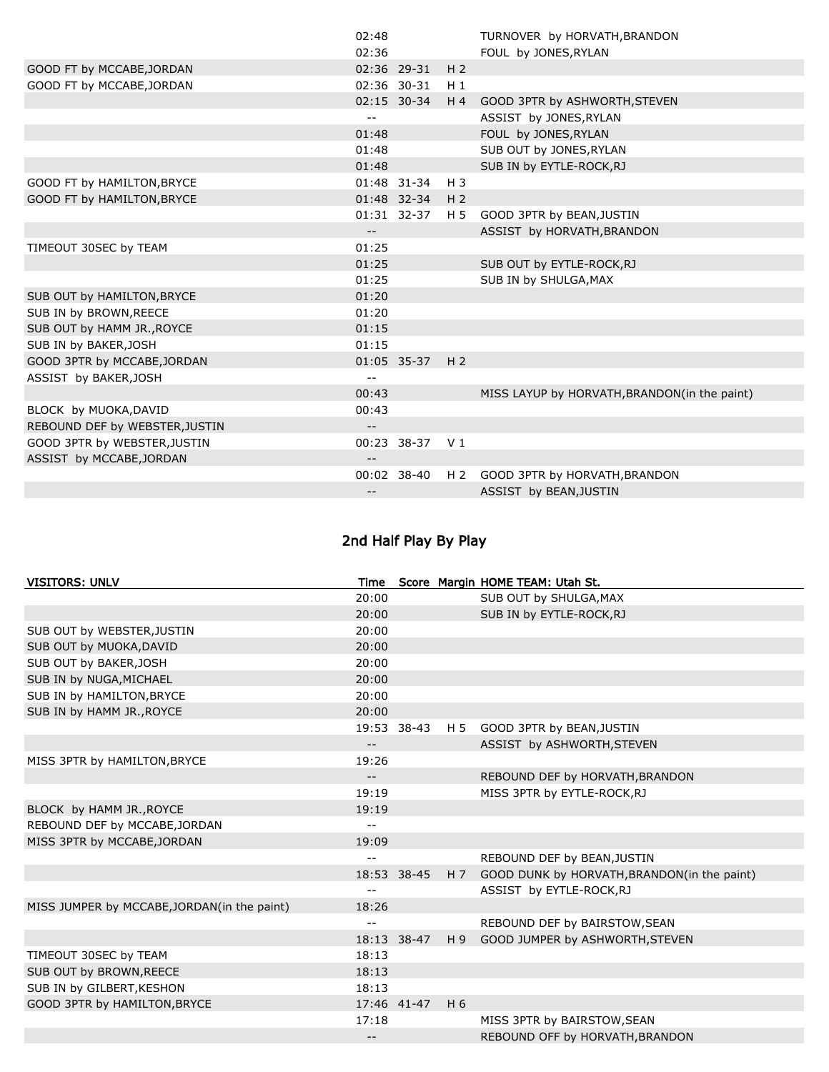|                                | 02:48                      |                 |                | TURNOVER by HORVATH, BRANDON                 |
|--------------------------------|----------------------------|-----------------|----------------|----------------------------------------------|
|                                | 02:36                      |                 |                | FOUL by JONES, RYLAN                         |
| GOOD FT by MCCABE, JORDAN      |                            | 02:36 29-31     | H <sub>2</sub> |                                              |
| GOOD FT by MCCABE, JORDAN      |                            | 02:36 30-31     | $H_1$          |                                              |
|                                |                            | 02:15 30-34     | $H_4$          | GOOD 3PTR by ASHWORTH, STEVEN                |
|                                | $- -$                      |                 |                | ASSIST by JONES, RYLAN                       |
|                                | 01:48                      |                 |                | FOUL by JONES, RYLAN                         |
|                                | 01:48                      |                 |                | SUB OUT by JONES, RYLAN                      |
|                                | 01:48                      |                 |                | SUB IN by EYTLE-ROCK, RJ                     |
| GOOD FT by HAMILTON, BRYCE     |                            | 01:48 31-34     | $H_3$          |                                              |
| GOOD FT by HAMILTON, BRYCE     |                            | 01:48 32-34 H 2 |                |                                              |
|                                |                            | 01:31 32-37     | H 5            | GOOD 3PTR by BEAN, JUSTIN                    |
|                                | $\overline{\phantom{a}}$ . |                 |                | ASSIST by HORVATH, BRANDON                   |
| TIMEOUT 30SEC by TEAM          | 01:25                      |                 |                |                                              |
|                                | 01:25                      |                 |                | SUB OUT by EYTLE-ROCK, RJ                    |
|                                | 01:25                      |                 |                | SUB IN by SHULGA, MAX                        |
| SUB OUT by HAMILTON, BRYCE     | 01:20                      |                 |                |                                              |
| SUB IN by BROWN, REECE         | 01:20                      |                 |                |                                              |
| SUB OUT by HAMM JR., ROYCE     | 01:15                      |                 |                |                                              |
| SUB IN by BAKER, JOSH          | 01:15                      |                 |                |                                              |
| GOOD 3PTR by MCCABE, JORDAN    |                            | 01:05 35-37     | H <sub>2</sub> |                                              |
| ASSIST by BAKER, JOSH          |                            |                 |                |                                              |
|                                | 00:43                      |                 |                | MISS LAYUP by HORVATH, BRANDON(in the paint) |
| BLOCK by MUOKA, DAVID          | 00:43                      |                 |                |                                              |
| REBOUND DEF by WEBSTER, JUSTIN | $\overline{\phantom{a}}$   |                 |                |                                              |
| GOOD 3PTR by WEBSTER, JUSTIN   |                            | 00:23 38-37 V1  |                |                                              |
| ASSIST by MCCABE, JORDAN       | --                         |                 |                |                                              |
|                                |                            | 00:02 38-40     | H <sub>2</sub> | GOOD 3PTR by HORVATH, BRANDON                |
|                                | --                         |                 |                | ASSIST by BEAN, JUSTIN                       |
|                                |                            |                 |                |                                              |

## 2nd Half Play By Play

| <b>VISITORS: UNLV</b>                       | Time  |             |     | Score Margin HOME TEAM: Utah St.            |
|---------------------------------------------|-------|-------------|-----|---------------------------------------------|
|                                             | 20:00 |             |     | SUB OUT by SHULGA, MAX                      |
|                                             | 20:00 |             |     | SUB IN by EYTLE-ROCK, RJ                    |
| SUB OUT by WEBSTER, JUSTIN                  | 20:00 |             |     |                                             |
| SUB OUT by MUOKA, DAVID                     | 20:00 |             |     |                                             |
| SUB OUT by BAKER, JOSH                      | 20:00 |             |     |                                             |
| SUB IN by NUGA, MICHAEL                     | 20:00 |             |     |                                             |
| SUB IN by HAMILTON, BRYCE                   | 20:00 |             |     |                                             |
| SUB IN by HAMM JR., ROYCE                   | 20:00 |             |     |                                             |
|                                             |       | 19:53 38-43 | H 5 | GOOD 3PTR by BEAN, JUSTIN                   |
|                                             | $- -$ |             |     | ASSIST by ASHWORTH, STEVEN                  |
| MISS 3PTR by HAMILTON, BRYCE                | 19:26 |             |     |                                             |
|                                             | $- -$ |             |     | REBOUND DEF by HORVATH, BRANDON             |
|                                             | 19:19 |             |     | MISS 3PTR by EYTLE-ROCK, RJ                 |
| BLOCK by HAMM JR., ROYCE                    | 19:19 |             |     |                                             |
| REBOUND DEF by MCCABE, JORDAN               | $- -$ |             |     |                                             |
| MISS 3PTR by MCCABE, JORDAN                 | 19:09 |             |     |                                             |
|                                             | $- -$ |             |     | REBOUND DEF by BEAN, JUSTIN                 |
|                                             |       | 18:53 38-45 | HZ  | GOOD DUNK by HORVATH, BRANDON(in the paint) |
|                                             | $-$   |             |     | ASSIST by EYTLE-ROCK, RJ                    |
| MISS JUMPER by MCCABE, JORDAN(in the paint) | 18:26 |             |     |                                             |
|                                             |       |             |     | REBOUND DEF by BAIRSTOW, SEAN               |
|                                             |       | 18:13 38-47 | H9  | GOOD JUMPER by ASHWORTH, STEVEN             |
| TIMEOUT 30SEC by TEAM                       | 18:13 |             |     |                                             |
| SUB OUT by BROWN, REECE                     | 18:13 |             |     |                                             |
| SUB IN by GILBERT, KESHON                   | 18:13 |             |     |                                             |
| GOOD 3PTR by HAMILTON, BRYCE                |       | 17:46 41-47 | H 6 |                                             |
|                                             | 17:18 |             |     | MISS 3PTR by BAIRSTOW, SEAN                 |
|                                             | $- -$ |             |     | REBOUND OFF by HORVATH, BRANDON             |
|                                             |       |             |     |                                             |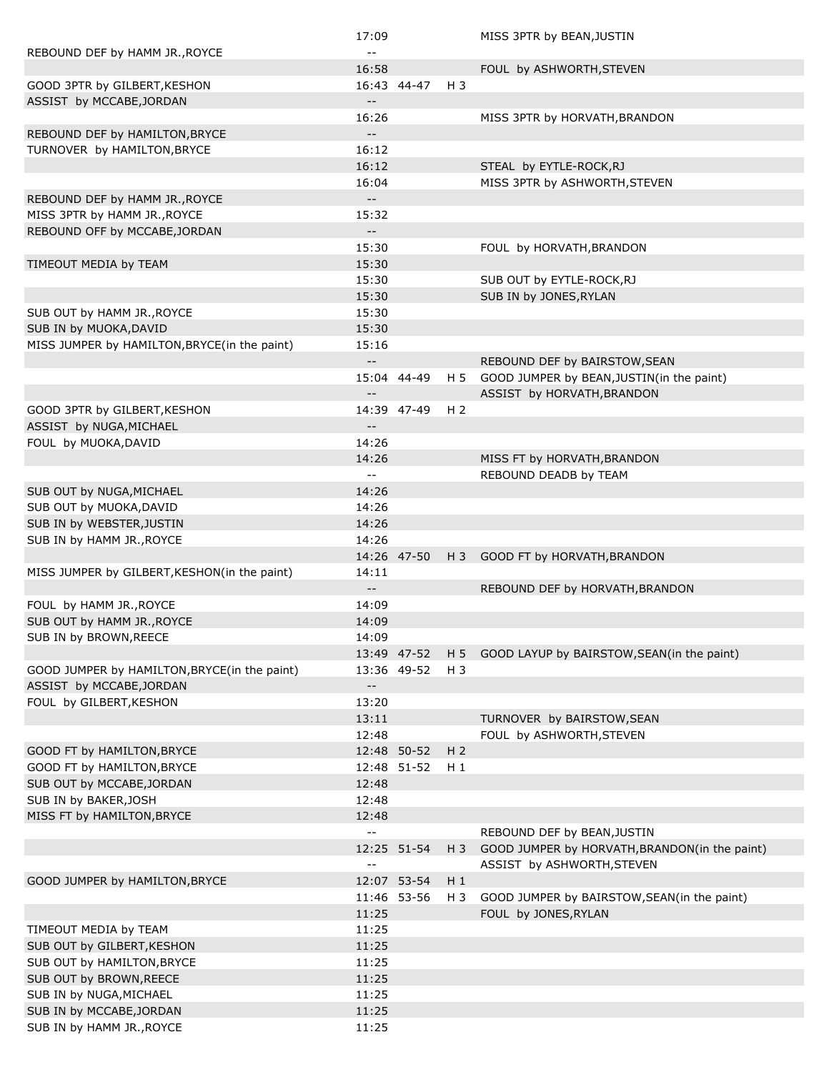|                                              | 17:09                                         |             |                | MISS 3PTR by BEAN, JUSTIN                      |
|----------------------------------------------|-----------------------------------------------|-------------|----------------|------------------------------------------------|
| REBOUND DEF by HAMM JR., ROYCE               |                                               |             |                |                                                |
|                                              | 16:58                                         |             |                | FOUL by ASHWORTH, STEVEN                       |
| GOOD 3PTR by GILBERT, KESHON                 |                                               | 16:43 44-47 | H 3            |                                                |
| ASSIST by MCCABE, JORDAN                     | $- -$                                         |             |                |                                                |
|                                              | 16:26                                         |             |                | MISS 3PTR by HORVATH, BRANDON                  |
| REBOUND DEF by HAMILTON, BRYCE               | $- -$                                         |             |                |                                                |
| TURNOVER by HAMILTON, BRYCE                  | 16:12                                         |             |                |                                                |
|                                              | 16:12                                         |             |                | STEAL by EYTLE-ROCK,RJ                         |
|                                              | 16:04                                         |             |                | MISS 3PTR by ASHWORTH, STEVEN                  |
| REBOUND DEF by HAMM JR., ROYCE               | $-$                                           |             |                |                                                |
| MISS 3PTR by HAMM JR., ROYCE                 | 15:32                                         |             |                |                                                |
| REBOUND OFF by MCCABE, JORDAN                | $-$                                           |             |                |                                                |
|                                              | 15:30                                         |             |                | FOUL by HORVATH, BRANDON                       |
| TIMEOUT MEDIA by TEAM                        | 15:30                                         |             |                |                                                |
|                                              | 15:30                                         |             |                | SUB OUT by EYTLE-ROCK, RJ                      |
|                                              | 15:30                                         |             |                | SUB IN by JONES, RYLAN                         |
| SUB OUT by HAMM JR., ROYCE                   | 15:30                                         |             |                |                                                |
| SUB IN by MUOKA, DAVID                       | 15:30                                         |             |                |                                                |
| MISS JUMPER by HAMILTON, BRYCE(in the paint) | 15:16                                         |             |                |                                                |
|                                              | $-$                                           |             |                | REBOUND DEF by BAIRSTOW, SEAN                  |
|                                              |                                               | 15:04 44-49 | H 5            | GOOD JUMPER by BEAN, JUSTIN(in the paint)      |
|                                              | $-$                                           |             |                | ASSIST by HORVATH, BRANDON                     |
| GOOD 3PTR by GILBERT, KESHON                 |                                               | 14:39 47-49 | H <sub>2</sub> |                                                |
| ASSIST by NUGA, MICHAEL                      | $- -$                                         |             |                |                                                |
| FOUL by MUOKA, DAVID                         | 14:26                                         |             |                |                                                |
|                                              | 14:26                                         |             |                | MISS FT by HORVATH, BRANDON                    |
|                                              | $\mathord{\hspace{1pt}\text{--}\hspace{1pt}}$ |             |                | REBOUND DEADB by TEAM                          |
| SUB OUT by NUGA, MICHAEL                     | 14:26                                         |             |                |                                                |
| SUB OUT by MUOKA, DAVID                      | 14:26                                         |             |                |                                                |
| SUB IN by WEBSTER, JUSTIN                    | 14:26                                         |             |                |                                                |
| SUB IN by HAMM JR., ROYCE                    | 14:26                                         |             |                |                                                |
|                                              |                                               | 14:26 47-50 | H 3            | GOOD FT by HORVATH, BRANDON                    |
| MISS JUMPER by GILBERT, KESHON(in the paint) | 14:11                                         |             |                |                                                |
|                                              | $\overline{\phantom{a}}$                      |             |                | REBOUND DEF by HORVATH, BRANDON                |
| FOUL by HAMM JR., ROYCE                      | 14:09                                         |             |                |                                                |
| SUB OUT by HAMM JR., ROYCE                   | 14:09                                         |             |                |                                                |
| SUB IN by BROWN, REECE                       | 14:09                                         |             |                |                                                |
|                                              |                                               | 13:49 47-52 |                | H 5 GOOD LAYUP by BAIRSTOW, SEAN(in the paint) |
| GOOD JUMPER by HAMILTON, BRYCE(in the paint) |                                               | 13:36 49-52 | H 3            |                                                |
| ASSIST by MCCABE, JORDAN                     | $\overline{\phantom{a}}$                      |             |                |                                                |
| FOUL by GILBERT, KESHON                      | 13:20                                         |             |                |                                                |
|                                              | 13:11                                         |             |                | TURNOVER by BAIRSTOW, SEAN                     |
|                                              | 12:48                                         |             |                | FOUL by ASHWORTH, STEVEN                       |
| GOOD FT by HAMILTON, BRYCE                   |                                               | 12:48 50-52 | H <sub>2</sub> |                                                |
| GOOD FT by HAMILTON, BRYCE                   |                                               | 12:48 51-52 | H 1            |                                                |
| SUB OUT by MCCABE, JORDAN                    | 12:48                                         |             |                |                                                |
| SUB IN by BAKER, JOSH                        | 12:48                                         |             |                |                                                |
| MISS FT by HAMILTON, BRYCE                   | 12:48                                         |             |                |                                                |
|                                              | $\mathbb{L}^{\perp}$                          |             |                | REBOUND DEF by BEAN, JUSTIN                    |
|                                              |                                               | 12:25 51-54 | H 3            | GOOD JUMPER by HORVATH, BRANDON(in the paint)  |
|                                              | $\sim$ $\sim$                                 |             |                | ASSIST by ASHWORTH, STEVEN                     |
| GOOD JUMPER by HAMILTON, BRYCE               |                                               | 12:07 53-54 | $H_1$          |                                                |
|                                              |                                               | 11:46 53-56 | H 3            | GOOD JUMPER by BAIRSTOW, SEAN(in the paint)    |
|                                              | 11:25                                         |             |                | FOUL by JONES, RYLAN                           |
| TIMEOUT MEDIA by TEAM                        | 11:25                                         |             |                |                                                |
| SUB OUT by GILBERT, KESHON                   | 11:25                                         |             |                |                                                |
| SUB OUT by HAMILTON, BRYCE                   | 11:25                                         |             |                |                                                |
| SUB OUT by BROWN, REECE                      | 11:25                                         |             |                |                                                |
| SUB IN by NUGA, MICHAEL                      | 11:25                                         |             |                |                                                |
| SUB IN by MCCABE, JORDAN                     | 11:25                                         |             |                |                                                |
| SUB IN by HAMM JR., ROYCE                    | 11:25                                         |             |                |                                                |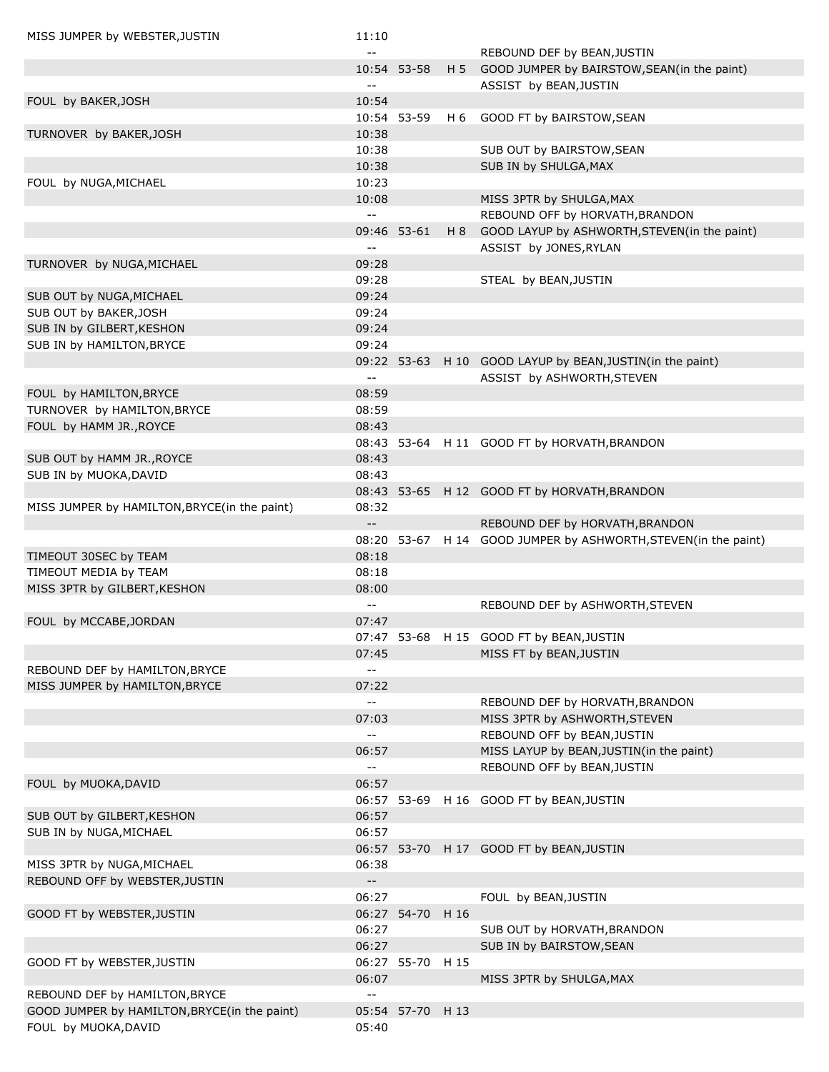| MISS JUMPER by WEBSTER, JUSTIN               | 11:10                     |                  |                                                                |
|----------------------------------------------|---------------------------|------------------|----------------------------------------------------------------|
|                                              | $- -$                     |                  | REBOUND DEF by BEAN, JUSTIN                                    |
|                                              |                           | 10:54 53-58      | H 5 GOOD JUMPER by BAIRSTOW, SEAN(in the paint)                |
|                                              | $-$                       |                  | ASSIST by BEAN, JUSTIN                                         |
| FOUL by BAKER, JOSH                          | 10:54                     |                  |                                                                |
|                                              |                           | 10:54 53-59      | H 6 GOOD FT by BAIRSTOW, SEAN                                  |
| TURNOVER by BAKER, JOSH                      | 10:38                     |                  |                                                                |
|                                              | 10:38                     |                  | SUB OUT by BAIRSTOW, SEAN                                      |
|                                              | 10:38                     |                  | SUB IN by SHULGA, MAX                                          |
| FOUL by NUGA, MICHAEL                        | 10:23<br>10:08            |                  | MISS 3PTR by SHULGA, MAX                                       |
|                                              | $\sim$ $\sim$             |                  | REBOUND OFF by HORVATH, BRANDON                                |
|                                              |                           | 09:46 53-61      | H 8 GOOD LAYUP by ASHWORTH, STEVEN(in the paint)               |
|                                              | $\sim$ $\sim$             |                  | ASSIST by JONES, RYLAN                                         |
| TURNOVER by NUGA, MICHAEL                    | 09:28                     |                  |                                                                |
|                                              | 09:28                     |                  | STEAL by BEAN, JUSTIN                                          |
| SUB OUT by NUGA, MICHAEL                     | 09:24                     |                  |                                                                |
| SUB OUT by BAKER, JOSH                       | 09:24                     |                  |                                                                |
| SUB IN by GILBERT, KESHON                    | 09:24                     |                  |                                                                |
| SUB IN by HAMILTON, BRYCE                    | 09:24                     |                  |                                                                |
|                                              |                           |                  | 09:22 53-63 H 10 GOOD LAYUP by BEAN, JUSTIN(in the paint)      |
|                                              | $\sim$ $\sim$             |                  | ASSIST by ASHWORTH, STEVEN                                     |
| FOUL by HAMILTON, BRYCE                      | 08:59                     |                  |                                                                |
| TURNOVER by HAMILTON, BRYCE                  | 08:59                     |                  |                                                                |
| FOUL by HAMM JR., ROYCE                      | 08:43                     |                  |                                                                |
|                                              |                           |                  | 08:43 53-64 H 11 GOOD FT by HORVATH, BRANDON                   |
| SUB OUT by HAMM JR., ROYCE                   | 08:43                     |                  |                                                                |
| SUB IN by MUOKA, DAVID                       | 08:43                     |                  |                                                                |
|                                              |                           |                  | 08:43 53-65 H 12 GOOD FT by HORVATH, BRANDON                   |
| MISS JUMPER by HAMILTON, BRYCE(in the paint) | 08:32                     |                  |                                                                |
|                                              | $- -$                     |                  | REBOUND DEF by HORVATH, BRANDON                                |
|                                              |                           |                  | 08:20 53-67 H 14 GOOD JUMPER by ASHWORTH, STEVEN(in the paint) |
| TIMEOUT 30SEC by TEAM                        | 08:18                     |                  |                                                                |
| TIMEOUT MEDIA by TEAM                        | 08:18                     |                  |                                                                |
| MISS 3PTR by GILBERT, KESHON                 | 08:00                     |                  |                                                                |
|                                              | $-$                       |                  | REBOUND DEF by ASHWORTH, STEVEN                                |
| FOUL by MCCABE, JORDAN                       | 07:47                     |                  |                                                                |
|                                              |                           |                  | 07:47 53-68 H 15 GOOD FT by BEAN, JUSTIN                       |
|                                              | 07:45                     |                  | MISS FT by BEAN, JUSTIN                                        |
| REBOUND DEF by HAMILTON, BRYCE               | $\sim$ $\sim$             |                  |                                                                |
| MISS JUMPER by HAMILTON, BRYCE               | 07:22                     |                  |                                                                |
|                                              | $\sim$ $\sim$             |                  | REBOUND DEF by HORVATH, BRANDON                                |
|                                              | 07:03                     |                  | MISS 3PTR by ASHWORTH, STEVEN                                  |
|                                              | $\mathbb{L}^{\mathbb{L}}$ |                  | REBOUND OFF by BEAN, JUSTIN                                    |
|                                              | 06:57<br>$\sim$ $\sim$    |                  | MISS LAYUP by BEAN, JUSTIN(in the paint)                       |
|                                              |                           |                  | REBOUND OFF by BEAN, JUSTIN                                    |
| FOUL by MUOKA, DAVID                         | 06:57                     |                  | 06:57 53-69 H 16 GOOD FT by BEAN, JUSTIN                       |
| SUB OUT by GILBERT, KESHON                   | 06:57                     |                  |                                                                |
| SUB IN by NUGA, MICHAEL                      | 06:57                     |                  |                                                                |
|                                              |                           |                  | 06:57 53-70 H 17 GOOD FT by BEAN, JUSTIN                       |
| MISS 3PTR by NUGA, MICHAEL                   | 06:38                     |                  |                                                                |
| REBOUND OFF by WEBSTER, JUSTIN               | $\sim$                    |                  |                                                                |
|                                              | 06:27                     |                  | FOUL by BEAN, JUSTIN                                           |
| GOOD FT by WEBSTER, JUSTIN                   |                           | 06:27 54-70 H 16 |                                                                |
|                                              | 06:27                     |                  | SUB OUT by HORVATH, BRANDON                                    |
|                                              | 06:27                     |                  | SUB IN by BAIRSTOW, SEAN                                       |
| GOOD FT by WEBSTER, JUSTIN                   |                           | 06:27 55-70 H 15 |                                                                |
|                                              | 06:07                     |                  | MISS 3PTR by SHULGA, MAX                                       |
| REBOUND DEF by HAMILTON, BRYCE               | $\sim$ $\sim$             |                  |                                                                |
| GOOD JUMPER by HAMILTON, BRYCE(in the paint) |                           | 05:54 57-70 H 13 |                                                                |
| FOUL by MUOKA, DAVID                         | 05:40                     |                  |                                                                |
|                                              |                           |                  |                                                                |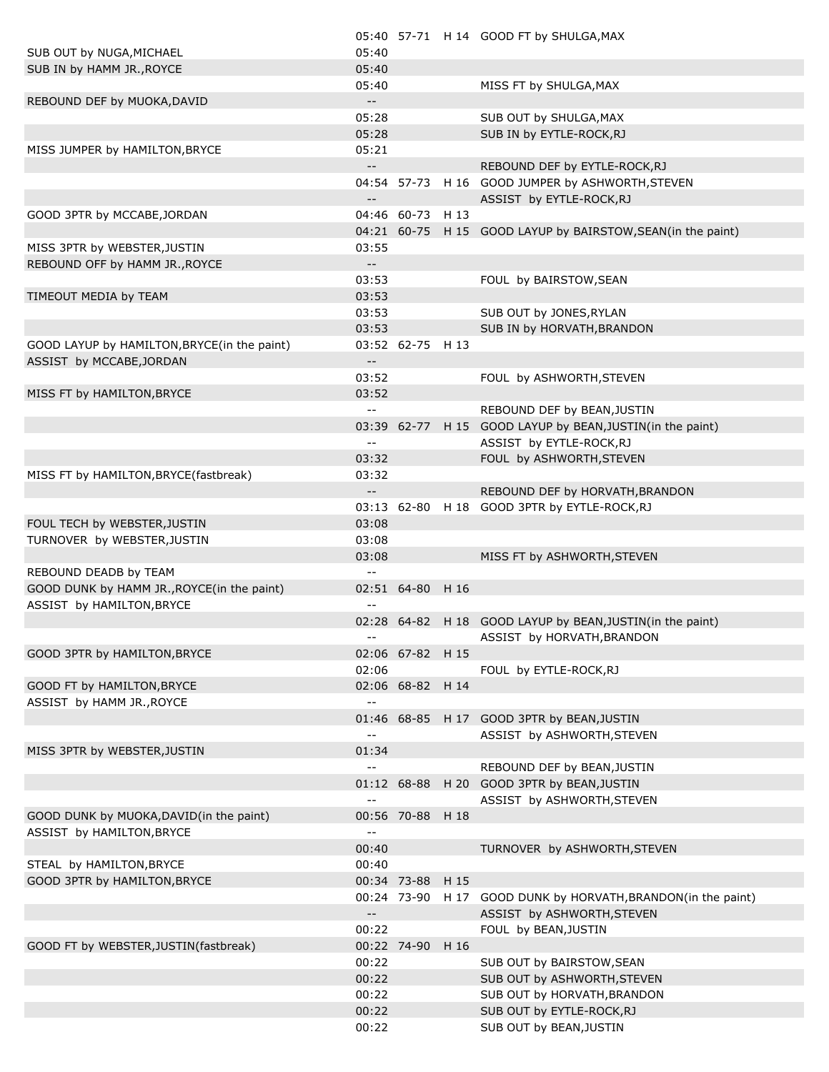|                                              |                                               |                  | 05:40 57-71 H 14 GOOD FT by SHULGA, MAX                      |
|----------------------------------------------|-----------------------------------------------|------------------|--------------------------------------------------------------|
| SUB OUT by NUGA, MICHAEL                     | 05:40                                         |                  |                                                              |
| SUB IN by HAMM JR., ROYCE                    | 05:40                                         |                  |                                                              |
|                                              | 05:40                                         |                  | MISS FT by SHULGA, MAX                                       |
|                                              | $\mathbb{H}^{\mathbb{H}}$                     |                  |                                                              |
| REBOUND DEF by MUOKA, DAVID                  |                                               |                  |                                                              |
|                                              | 05:28                                         |                  | SUB OUT by SHULGA, MAX                                       |
|                                              | 05:28                                         |                  | SUB IN by EYTLE-ROCK, RJ                                     |
| MISS JUMPER by HAMILTON, BRYCE               | 05:21                                         |                  |                                                              |
|                                              | $\overline{\phantom{a}}$                      |                  | REBOUND DEF by EYTLE-ROCK, RJ                                |
|                                              |                                               |                  | 04:54 57-73 H 16 GOOD JUMPER by ASHWORTH, STEVEN             |
|                                              | $\overline{\phantom{a}}$                      |                  | ASSIST by EYTLE-ROCK, RJ                                     |
|                                              |                                               | 04:46 60-73 H 13 |                                                              |
| GOOD 3PTR by MCCABE, JORDAN                  |                                               |                  |                                                              |
|                                              |                                               |                  | 04:21 60-75 H 15 GOOD LAYUP by BAIRSTOW, SEAN (in the paint) |
| MISS 3PTR by WEBSTER, JUSTIN                 | 03:55                                         |                  |                                                              |
| REBOUND OFF by HAMM JR., ROYCE               | $\sim$                                        |                  |                                                              |
|                                              | 03:53                                         |                  | FOUL by BAIRSTOW, SEAN                                       |
| TIMEOUT MEDIA by TEAM                        | 03:53                                         |                  |                                                              |
|                                              | 03:53                                         |                  | SUB OUT by JONES, RYLAN                                      |
|                                              | 03:53                                         |                  | SUB IN by HORVATH, BRANDON                                   |
|                                              |                                               |                  |                                                              |
| GOOD LAYUP by HAMILTON, BRYCE (in the paint) |                                               | 03:52 62-75 H 13 |                                                              |
| ASSIST by MCCABE, JORDAN                     | $\overline{\phantom{a}}$                      |                  |                                                              |
|                                              | 03:52                                         |                  | FOUL by ASHWORTH, STEVEN                                     |
| MISS FT by HAMILTON, BRYCE                   | 03:52                                         |                  |                                                              |
|                                              | $\mathord{\hspace{1pt}\text{--}\hspace{1pt}}$ |                  | REBOUND DEF by BEAN, JUSTIN                                  |
|                                              |                                               |                  | 03:39 62-77 H 15 GOOD LAYUP by BEAN, JUSTIN(in the paint)    |
|                                              |                                               |                  | ASSIST by EYTLE-ROCK, RJ                                     |
|                                              | $\mathord{\hspace{1pt}\text{--}\hspace{1pt}}$ |                  |                                                              |
|                                              | 03:32                                         |                  | FOUL by ASHWORTH, STEVEN                                     |
| MISS FT by HAMILTON, BRYCE (fastbreak)       | 03:32                                         |                  |                                                              |
|                                              | $\overline{\phantom{a}}$                      |                  | REBOUND DEF by HORVATH, BRANDON                              |
|                                              |                                               |                  | 03:13 62-80 H 18 GOOD 3PTR by EYTLE-ROCK,RJ                  |
| FOUL TECH by WEBSTER, JUSTIN                 | 03:08                                         |                  |                                                              |
| TURNOVER by WEBSTER, JUSTIN                  | 03:08                                         |                  |                                                              |
|                                              | 03:08                                         |                  |                                                              |
|                                              |                                               |                  | MISS FT by ASHWORTH, STEVEN                                  |
| REBOUND DEADB by TEAM                        | $\mathord{\hspace{1pt}\text{--}\hspace{1pt}}$ |                  |                                                              |
| GOOD DUNK by HAMM JR., ROYCE(in the paint)   |                                               | 02:51 64-80 H 16 |                                                              |
| ASSIST by HAMILTON, BRYCE                    |                                               |                  |                                                              |
|                                              |                                               |                  | 02:28 64-82 H 18 GOOD LAYUP by BEAN, JUSTIN(in the paint)    |
|                                              | $\sim$ $-$                                    |                  | ASSIST by HORVATH, BRANDON                                   |
| GOOD 3PTR by HAMILTON, BRYCE                 |                                               | 02:06 67-82 H 15 |                                                              |
|                                              | 02:06                                         |                  | FOUL by EYTLE-ROCK,RJ                                        |
|                                              |                                               |                  |                                                              |
| GOOD FT by HAMILTON, BRYCE                   |                                               | 02:06 68-82 H 14 |                                                              |
| ASSIST by HAMM JR., ROYCE                    |                                               |                  |                                                              |
|                                              |                                               |                  | 01:46 68-85 H 17 GOOD 3PTR by BEAN, JUSTIN                   |
|                                              | $\mathord{\hspace{1pt}\text{--}\hspace{1pt}}$ |                  | ASSIST by ASHWORTH, STEVEN                                   |
| MISS 3PTR by WEBSTER, JUSTIN                 | 01:34                                         |                  |                                                              |
|                                              | $\overline{\phantom{a}}$                      |                  | REBOUND DEF by BEAN, JUSTIN                                  |
|                                              |                                               | 01:12 68-88      | H 20 GOOD 3PTR by BEAN, JUSTIN                               |
|                                              |                                               |                  |                                                              |
|                                              | $\mathord{\hspace{1pt}\text{--}\hspace{1pt}}$ |                  | ASSIST by ASHWORTH, STEVEN                                   |
| GOOD DUNK by MUOKA, DAVID (in the paint)     |                                               | 00:56 70-88 H 18 |                                                              |
| ASSIST by HAMILTON, BRYCE                    | $\mathord{\hspace{1pt}\text{--}\hspace{1pt}}$ |                  |                                                              |
|                                              | 00:40                                         |                  | TURNOVER by ASHWORTH, STEVEN                                 |
| STEAL by HAMILTON, BRYCE                     | 00:40                                         |                  |                                                              |
| GOOD 3PTR by HAMILTON, BRYCE                 |                                               | 00:34 73-88 H 15 |                                                              |
|                                              |                                               | 00:24 73-90 H 17 | GOOD DUNK by HORVATH, BRANDON (in the paint)                 |
|                                              |                                               |                  |                                                              |
|                                              | $\overline{\phantom{a}}$                      |                  | ASSIST by ASHWORTH, STEVEN                                   |
|                                              | 00:22                                         |                  | FOUL by BEAN, JUSTIN                                         |
| GOOD FT by WEBSTER, JUSTIN(fastbreak)        |                                               | 00:22 74-90 H 16 |                                                              |
|                                              | 00:22                                         |                  | SUB OUT by BAIRSTOW, SEAN                                    |
|                                              | 00:22                                         |                  | SUB OUT by ASHWORTH, STEVEN                                  |
|                                              | 00:22                                         |                  | SUB OUT by HORVATH, BRANDON                                  |
|                                              | 00:22                                         |                  | SUB OUT by EYTLE-ROCK, RJ                                    |
|                                              |                                               |                  |                                                              |
|                                              | 00:22                                         |                  | SUB OUT by BEAN, JUSTIN                                      |